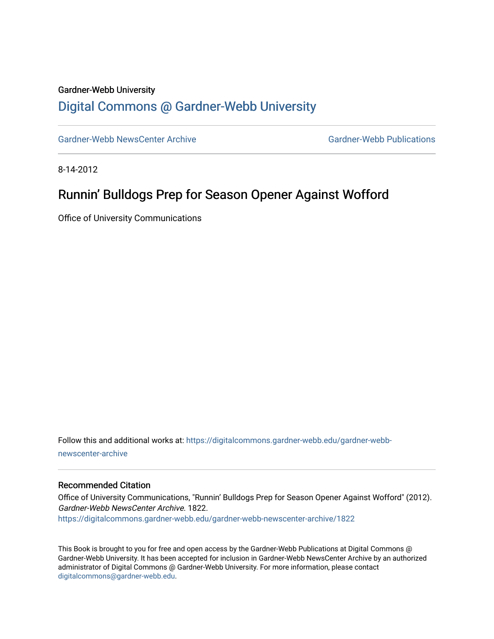#### Gardner-Webb University

## [Digital Commons @ Gardner-Webb University](https://digitalcommons.gardner-webb.edu/)

[Gardner-Webb NewsCenter Archive](https://digitalcommons.gardner-webb.edu/gardner-webb-newscenter-archive) Gardner-Webb Publications

8-14-2012

## Runnin' Bulldogs Prep for Season Opener Against Wofford

Office of University Communications

Follow this and additional works at: [https://digitalcommons.gardner-webb.edu/gardner-webb](https://digitalcommons.gardner-webb.edu/gardner-webb-newscenter-archive?utm_source=digitalcommons.gardner-webb.edu%2Fgardner-webb-newscenter-archive%2F1822&utm_medium=PDF&utm_campaign=PDFCoverPages)[newscenter-archive](https://digitalcommons.gardner-webb.edu/gardner-webb-newscenter-archive?utm_source=digitalcommons.gardner-webb.edu%2Fgardner-webb-newscenter-archive%2F1822&utm_medium=PDF&utm_campaign=PDFCoverPages)

#### Recommended Citation

Office of University Communications, "Runnin' Bulldogs Prep for Season Opener Against Wofford" (2012). Gardner-Webb NewsCenter Archive. 1822. [https://digitalcommons.gardner-webb.edu/gardner-webb-newscenter-archive/1822](https://digitalcommons.gardner-webb.edu/gardner-webb-newscenter-archive/1822?utm_source=digitalcommons.gardner-webb.edu%2Fgardner-webb-newscenter-archive%2F1822&utm_medium=PDF&utm_campaign=PDFCoverPages) 

This Book is brought to you for free and open access by the Gardner-Webb Publications at Digital Commons @ Gardner-Webb University. It has been accepted for inclusion in Gardner-Webb NewsCenter Archive by an authorized administrator of Digital Commons @ Gardner-Webb University. For more information, please contact [digitalcommons@gardner-webb.edu](mailto:digitalcommons@gardner-webb.edu).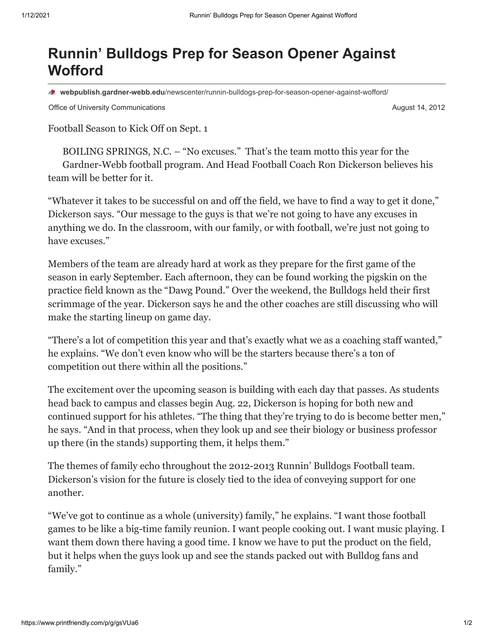# **Runnin' Bulldogs Prep for Season Opener Against Wofford**

**webpublish.gardner-webb.edu**[/newscenter/runnin-bulldogs-prep-for-season-opener-against-wofford/](https://webpublish.gardner-webb.edu/newscenter/runnin-bulldogs-prep-for-season-opener-against-wofford/)

Office of University Communications **August 14, 2012 August 14, 2012** 

Football Season to Kick Off on Sept. 1

BOILING SPRINGS, N.C. – "No excuses." That's the team motto this year for the Gardner-Webb football program. And Head Football Coach Ron Dickerson believes his team will be better for it.

"Whatever it takes to be successful on and off the field, we have to find a way to get it done," Dickerson says. "Our message to the guys is that we're not going to have any excuses in anything we do. In the classroom, with our family, or with football, we're just not going to have excuses."

Members of the team are already hard at work as they prepare for the first game of the season in early September. Each afternoon, they can be found working the pigskin on the practice field known as the "Dawg Pound." Over the weekend, the Bulldogs held their first scrimmage of the year. Dickerson says he and the other coaches are still discussing who will make the starting lineup on game day.

"There's a lot of competition this year and that's exactly what we as a coaching staff wanted," he explains. "We don't even know who will be the starters because there's a ton of competition out there within all the positions."

The excitement over the upcoming season is building with each day that passes. As students head back to campus and classes begin Aug. 22, Dickerson is hoping for both new and continued support for his athletes. "The thing that they're trying to do is become better men," he says. "And in that process, when they look up and see their biology or business professor up there (in the stands) supporting them, it helps them."

The themes of family echo throughout the 2012-2013 Runnin' Bulldogs Football team. Dickerson's vision for the future is closely tied to the idea of conveying support for one another.

"We've got to continue as a whole (university) family," he explains. "I want those football games to be like a big-time family reunion. I want people cooking out. I want music playing. I want them down there having a good time. I know we have to put the product on the field, but it helps when the guys look up and see the stands packed out with Bulldog fans and family."